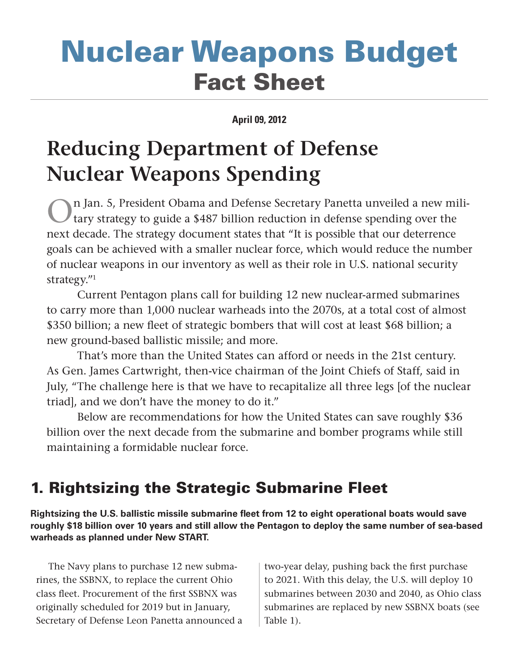# Nuclear Weapons Budget Fact Sheet

### **April 09, 2012**

## **Reducing Department of Defense Nuclear Weapons Spending**

n Jan. 5, President Obama and Defense Secretary Panetta unveiled a new military strategy to guide a \$487 billion reduction in defense spending over the next decade. The strategy document states that "It is possible that our deterrence goals can be achieved with a smaller nuclear force, which would reduce the number of nuclear weapons in our inventory as well as their role in U.S. national security strategy."1

Current Pentagon plans call for building 12 new nuclear-armed submarines to carry more than 1,000 nuclear warheads into the 2070s, at a total cost of almost \$350 billion; a new fleet of strategic bombers that will cost at least \$68 billion; a new ground-based ballistic missile; and more.

That's more than the United States can afford or needs in the 21st century. As Gen. James Cartwright, then-vice chairman of the Joint Chiefs of Staff, said in July, "The challenge here is that we have to recapitalize all three legs [of the nuclear triad], and we don't have the money to do it."

Below are recommendations for how the United States can save roughly \$36 billion over the next decade from the submarine and bomber programs while still maintaining a formidable nuclear force.

### 1. Rightsizing the Strategic Submarine Fleet

**Rightsizing the U.S. ballistic missile submarine fleet from 12 to eight operational boats would save roughly \$18 billion over 10 years and still allow the Pentagon to deploy the same number of sea-based warheads as planned under New START.** 

The Navy plans to purchase 12 new submarines, the SSBNX, to replace the current Ohio class fleet. Procurement of the first SSBNX was originally scheduled for 2019 but in January, Secretary of Defense Leon Panetta announced a

two-year delay, pushing back the first purchase to 2021. With this delay, the U.S. will deploy 10 submarines between 2030 and 2040, as Ohio class submarines are replaced by new SSBNX boats (see Table 1).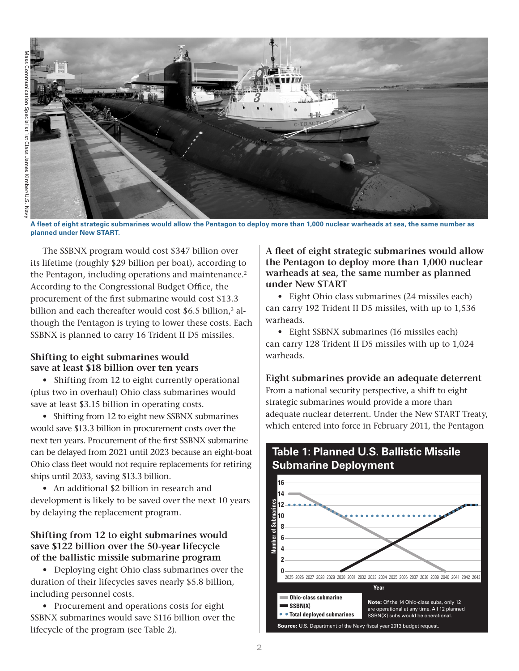

**A fleet of eight strategic submarines would allow the Pentagon to deploy more than 1,000 nuclear warheads at sea, the same number as 14 planned under New START.**

The SSBNX program would cost \$347 billion over its lifetime (roughly \$29 billion per boat), according to the Pentagon, including operations and maintenance.<sup>2</sup> According to the Congressional Budget Office, the procurement of the first submarine would cost \$13.3 billion and each thereafter would cost \$6.5 billion,<sup>3</sup> although the Pentagon is trying to lower these costs. Each SSBNX is planned to carry 16 Trident II D5 missiles.

### **Shifting to eight submarines would save at least \$18 billion over ten years**

• Shifting from 12 to eight currently operational (plus two in overhaul) Ohio class submarines would save at least \$3.15 billion in operating costs.

• Shifting from 12 to eight new SSBNX submarines would save \$13.3 billion in procurement costs over the next ten years. Procurement of the first SSBNX submarine can be delayed from 2021 until 2023 because an eight-boat Ohio class fleet would not require replacements for retiring ships until 2033, saving \$13.3 billion.

• An additional \$2 billion in research and development is likely to be saved over the next 10 years by delaying the replacement program.

### **Shifting from 12 to eight submarines would save \$122 billion over the 50-year lifecycle of the ballistic missile submarine program**

• Deploying eight Ohio class submarines over the duration of their lifecycles saves nearly \$5.8 billion, including personnel costs.

• Procurement and operations costs for eight SSBNX submarines would save \$116 billion over the lifecycle of the program (see Table 2).

### **A fleet of eight strategic submarines would allow 10 the Pentagon to deploy more than 1,000 nuclear 8 warheads at sea, the same number as planned 6 under New START 4** ل<br>h<br>n

• Eight Ohio class submarines (24 missiles each) **2** can carry 192 Trident II D5 missiles, with up to 1,536 warheads.

• Eight SSBNX submarines (16 missiles each) can carry 128 Trident II D5 missiles with up to 1,024 warheads. The subseteur operational at any time. All 128 Trident II D5 missiles with up to  $1,02$  $U.\text{C}$ 

### **Eight submarines provide an adequate deterrent** From a national security perspective, a shift to eight strategic submarines would provide a more than adequate nuclear deterrent. Under the New START Treaty, which entered into force in February 2011, the Pentagon



## **Table 1: Planned U.S. Ballistic Missile**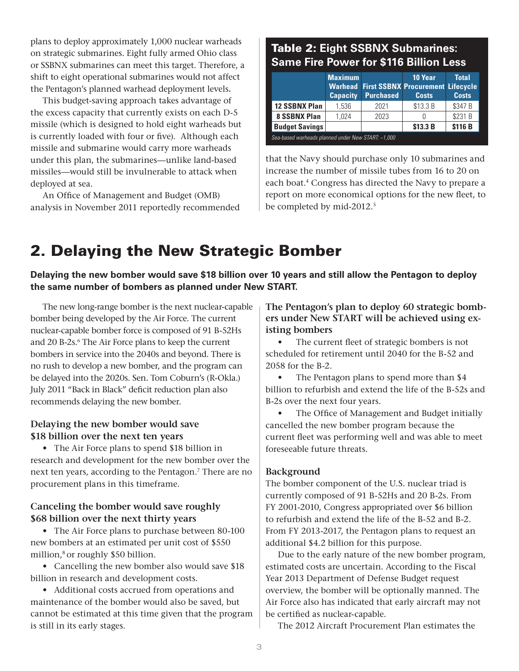plans to deploy approximately 1,000 nuclear warheads on strategic submarines. Eight fully armed Ohio class or SSBNX submarines can meet this target. Therefore, a shift to eight operational submarines would not affect the Pentagon's planned warhead deployment levels**.** 

This budget-saving approach takes advantage of the excess capacity that currently exists on each D-5 missile (which is designed to hold eight warheads but is currently loaded with four or five). Although each missile and submarine would carry more warheads under this plan, the submarines—unlike land-based missiles—would still be invulnerable to attack when deployed at sea.

An Office of Management and Budget (OMB) analysis in November 2011 reportedly recommended

### Table 2: **Eight SSBNX Submarines: Same Fire Power for \$116 Billion Less**

|                                                    | <b>Maximum</b><br><b>Capacity</b> | <b>Purchased</b> | 10 Year<br><b>Warhead First SSBNX Procurement Lifecycle</b><br><b>Costs</b> | <b>Total</b><br><b>Costs</b> |
|----------------------------------------------------|-----------------------------------|------------------|-----------------------------------------------------------------------------|------------------------------|
| <b>12 SSBNX Plan</b>                               | 1.536                             | 2021             | \$13.3 B                                                                    | \$347 B                      |
| 8 SSBNX Plan                                       | 1.024                             | 2023             |                                                                             | \$231 B                      |
| <b>Budget Savings</b>                              |                                   |                  | \$13.3 B                                                                    | \$116 B                      |
| Sea-based warheads planned under New START: ~1,000 |                                   |                  |                                                                             |                              |

that the Navy should purchase only 10 submarines and increase the number of missile tubes from 16 to 20 on each boat.<sup>4</sup> Congress has directed the Navy to prepare a report on more economical options for the new fleet, to be completed by mid-2012.<sup>5</sup>

### 2. Delaying the New Strategic Bomber

**Delaying the new bomber would save \$18 billion over 10 years and still allow the Pentagon to deploy the same number of bombers as planned under New START.** 

The new long-range bomber is the next nuclear-capable bomber being developed by the Air Force. The current nuclear-capable bomber force is composed of 91 B-52Hs and 20 B-2s.<sup>6</sup> The Air Force plans to keep the current bombers in service into the 2040s and beyond. There is no rush to develop a new bomber, and the program can be delayed into the 2020s. Sen. Tom Coburn's (R-Okla.) July 2011 "Back in Black" deficit reduction plan also recommends delaying the new bomber.

### **Delaying the new bomber would save \$18 billion over the next ten years**

• The Air Force plans to spend \$18 billion in research and development for the new bomber over the next ten years, according to the Pentagon.<sup>7</sup> There are no procurement plans in this timeframe.

### **Canceling the bomber would save roughly \$68 billion over the next thirty years**

• The Air Force plans to purchase between 80-100 new bombers at an estimated per unit cost of \$550 million,<sup>8</sup> or roughly \$50 billion.

• Cancelling the new bomber also would save \$18 billion in research and development costs.

• Additional costs accrued from operations and maintenance of the bomber would also be saved, but cannot be estimated at this time given that the program is still in its early stages.

**The Pentagon's plan to deploy 60 strategic bombers under New START will be achieved using existing bombers**

The current fleet of strategic bombers is not scheduled for retirement until 2040 for the B-52 and 2058 for the B-2.

• The Pentagon plans to spend more than \$4 billion to refurbish and extend the life of the B-52s and B-2s over the next four years.

• The Office of Management and Budget initially cancelled the new bomber program because the current fleet was performing well and was able to meet foreseeable future threats.

### **Background**

The bomber component of the U.S. nuclear triad is currently composed of 91 B-52Hs and 20 B-2s. From FY 2001-2010, Congress appropriated over \$6 billion to refurbish and extend the life of the B-52 and B-2. From FY 2013-2017, the Pentagon plans to request an additional \$4.2 billion for this purpose.

Due to the early nature of the new bomber program, estimated costs are uncertain. According to the Fiscal Year 2013 Department of Defense Budget request overview, the bomber will be optionally manned. The Air Force also has indicated that early aircraft may not be certified as nuclear-capable.

The 2012 Aircraft Procurement Plan estimates the